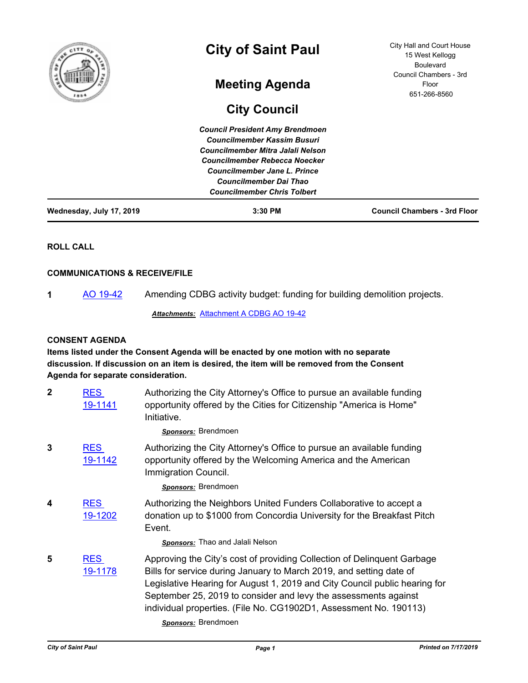| f<br>និ                  | <b>City of Saint Paul</b>                                                                                                                                                                                                                                 | City Hall and Court House<br>15 West Kellogg<br><b>Boulevard</b> |
|--------------------------|-----------------------------------------------------------------------------------------------------------------------------------------------------------------------------------------------------------------------------------------------------------|------------------------------------------------------------------|
|                          | <b>Meeting Agenda</b>                                                                                                                                                                                                                                     | Council Chambers - 3rd<br>Floor<br>651-266-8560                  |
|                          | <b>City Council</b>                                                                                                                                                                                                                                       |                                                                  |
|                          | <b>Council President Amy Brendmoen</b><br><b>Councilmember Kassim Busuri</b><br>Councilmember Mitra Jalali Nelson<br>Councilmember Rebecca Noecker<br>Councilmember Jane L. Prince<br><b>Councilmember Dai Thao</b><br><b>Councilmember Chris Tolbert</b> |                                                                  |
| Wednesday, July 17, 2019 | 3:30 PM                                                                                                                                                                                                                                                   | <b>Council Chambers - 3rd Floor</b>                              |

**ROLL CALL**

# **COMMUNICATIONS & RECEIVE/FILE**

**1** [AO 19-42](http://stpaul.legistar.com/gateway.aspx?m=l&id=/matter.aspx?key=32007) Amending CDBG activity budget: funding for building demolition projects.

*Attachments:* [Attachment A CDBG AO 19-42](http://StPaul.legistar.com/gateway.aspx?M=F&ID=887e9064-9f65-4fc2-a843-633d1c7fbfb3.pdf)

## **CONSENT AGENDA**

**Items listed under the Consent Agenda will be enacted by one motion with no separate discussion. If discussion on an item is desired, the item will be removed from the Consent Agenda for separate consideration.**

| $\overline{2}$ | <b>RES</b><br>19-1141 | Authorizing the City Attorney's Office to pursue an available funding<br>opportunity offered by the Cities for Citizenship "America is Home"<br>Initiative.                                                                                                                                                                                                          |
|----------------|-----------------------|----------------------------------------------------------------------------------------------------------------------------------------------------------------------------------------------------------------------------------------------------------------------------------------------------------------------------------------------------------------------|
|                |                       | Sponsors: Brendmoen                                                                                                                                                                                                                                                                                                                                                  |
| 3              | <b>RES</b><br>19-1142 | Authorizing the City Attorney's Office to pursue an available funding<br>opportunity offered by the Welcoming America and the American<br>Immigration Council.                                                                                                                                                                                                       |
|                |                       | Sponsors: Brendmoen                                                                                                                                                                                                                                                                                                                                                  |
| 4              | <b>RES</b><br>19-1202 | Authorizing the Neighbors United Funders Collaborative to accept a<br>donation up to \$1000 from Concordia University for the Breakfast Pitch<br>Event.                                                                                                                                                                                                              |
|                |                       | <b>Sponsors:</b> Thao and Jalali Nelson                                                                                                                                                                                                                                                                                                                              |
| 5              | <b>RES</b><br>19-1178 | Approving the City's cost of providing Collection of Delinquent Garbage<br>Bills for service during January to March 2019, and setting date of<br>Legislative Hearing for August 1, 2019 and City Council public hearing for<br>September 25, 2019 to consider and levy the assessments against<br>individual properties. (File No. CG1902D1, Assessment No. 190113) |

*Sponsors:* Brendmoen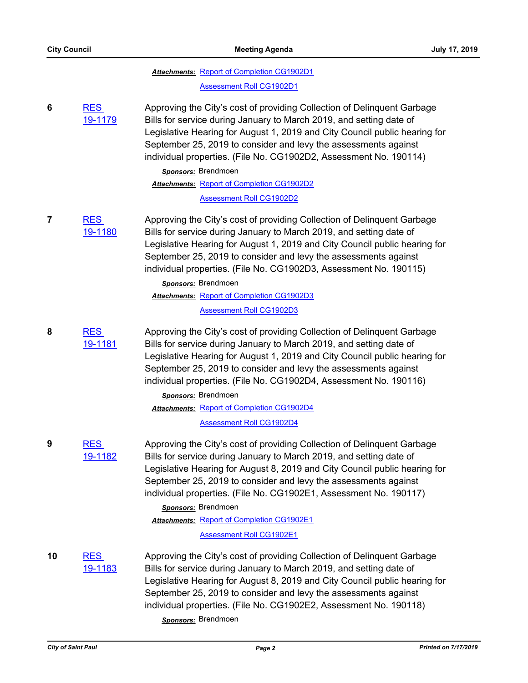|    |                       | <b>Attachments: Report of Completion CG1902D1</b><br><b>Assessment Roll CG1902D1</b>                                                                                                                                                                                                                                                                                                                                                                                                |
|----|-----------------------|-------------------------------------------------------------------------------------------------------------------------------------------------------------------------------------------------------------------------------------------------------------------------------------------------------------------------------------------------------------------------------------------------------------------------------------------------------------------------------------|
| 6  | <b>RES</b><br>19-1179 | Approving the City's cost of providing Collection of Delinquent Garbage<br>Bills for service during January to March 2019, and setting date of<br>Legislative Hearing for August 1, 2019 and City Council public hearing for<br>September 25, 2019 to consider and levy the assessments against<br>individual properties. (File No. CG1902D2, Assessment No. 190114)<br>Sponsors: Brendmoen<br><b>Attachments: Report of Completion CG1902D2</b><br><b>Assessment Roll CG1902D2</b> |
| 7  | <b>RES</b><br>19-1180 | Approving the City's cost of providing Collection of Delinquent Garbage<br>Bills for service during January to March 2019, and setting date of<br>Legislative Hearing for August 1, 2019 and City Council public hearing for<br>September 25, 2019 to consider and levy the assessments against<br>individual properties. (File No. CG1902D3, Assessment No. 190115)<br>Sponsors: Brendmoen<br>Attachments: Report of Completion CG1902D3                                           |
|    |                       | <b>Assessment Roll CG1902D3</b>                                                                                                                                                                                                                                                                                                                                                                                                                                                     |
| 8  | <b>RES</b><br>19-1181 | Approving the City's cost of providing Collection of Delinquent Garbage<br>Bills for service during January to March 2019, and setting date of<br>Legislative Hearing for August 1, 2019 and City Council public hearing for<br>September 25, 2019 to consider and levy the assessments against<br>individual properties. (File No. CG1902D4, Assessment No. 190116)<br>Sponsors: Brendmoen<br><b>Attachments: Report of Completion CG1902D4</b>                                    |
|    |                       | <b>Assessment Roll CG1902D4</b>                                                                                                                                                                                                                                                                                                                                                                                                                                                     |
| 9  | <b>RES</b><br>19-1182 | Approving the City's cost of providing Collection of Delinguent Garbage<br>Bills for service during January to March 2019, and setting date of<br>Legislative Hearing for August 8, 2019 and City Council public hearing for<br>September 25, 2019 to consider and levy the assessments against<br>individual properties. (File No. CG1902E1, Assessment No. 190117)                                                                                                                |
|    |                       | Sponsors: Brendmoen<br><b>Attachments: Report of Completion CG1902E1</b>                                                                                                                                                                                                                                                                                                                                                                                                            |
|    |                       | <b>Assessment Roll CG1902E1</b>                                                                                                                                                                                                                                                                                                                                                                                                                                                     |
| 10 | <b>RES</b><br>19-1183 | Approving the City's cost of providing Collection of Delinquent Garbage<br>Bills for service during January to March 2019, and setting date of<br>Legislative Hearing for August 8, 2019 and City Council public hearing for<br>September 25, 2019 to consider and levy the assessments against<br>individual properties. (File No. CG1902E2, Assessment No. 190118)<br>Sponsors: Brendmoen                                                                                         |
|    |                       |                                                                                                                                                                                                                                                                                                                                                                                                                                                                                     |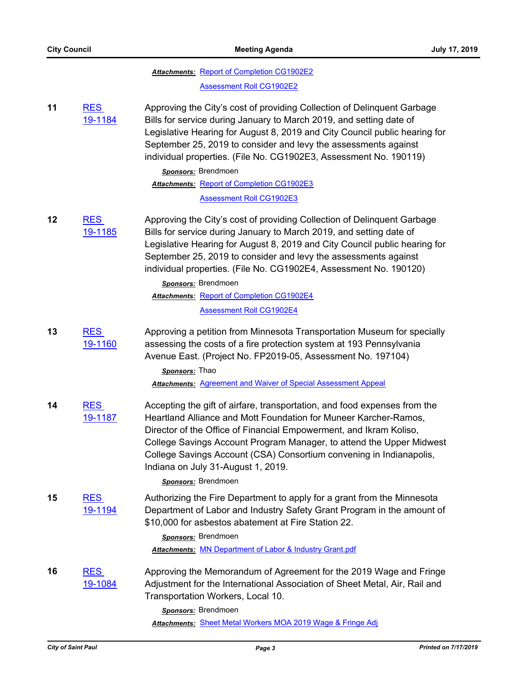|    |                              | <b>Attachments: Report of Completion CG1902E2</b><br><b>Assessment Roll CG1902E2</b>                                                                                                                                                                                                                                                                                                                                            |
|----|------------------------------|---------------------------------------------------------------------------------------------------------------------------------------------------------------------------------------------------------------------------------------------------------------------------------------------------------------------------------------------------------------------------------------------------------------------------------|
| 11 | <b>RES</b><br>19-1184        | Approving the City's cost of providing Collection of Delinquent Garbage<br>Bills for service during January to March 2019, and setting date of<br>Legislative Hearing for August 8, 2019 and City Council public hearing for<br>September 25, 2019 to consider and levy the assessments against<br>individual properties. (File No. CG1902E3, Assessment No. 190119)<br>Sponsors: Brendmoen                                     |
|    |                              | Attachments: Report of Completion CG1902E3<br><b>Assessment Roll CG1902E3</b>                                                                                                                                                                                                                                                                                                                                                   |
| 12 | <b>RES</b><br>19-1185        | Approving the City's cost of providing Collection of Delinquent Garbage<br>Bills for service during January to March 2019, and setting date of<br>Legislative Hearing for August 8, 2019 and City Council public hearing for<br>September 25, 2019 to consider and levy the assessments against<br>individual properties. (File No. CG1902E4, Assessment No. 190120)                                                            |
|    |                              | Sponsors: Brendmoen<br><b>Attachments: Report of Completion CG1902E4</b>                                                                                                                                                                                                                                                                                                                                                        |
|    |                              | <b>Assessment Roll CG1902E4</b>                                                                                                                                                                                                                                                                                                                                                                                                 |
| 13 | <b>RES</b><br>19-1160        | Approving a petition from Minnesota Transportation Museum for specially<br>assessing the costs of a fire protection system at 193 Pennsylvania<br>Avenue East. (Project No. FP2019-05, Assessment No. 197104)<br>Sponsors: Thao                                                                                                                                                                                                 |
|    |                              | <b>Attachments: Agreement and Waiver of Special Assessment Appeal</b>                                                                                                                                                                                                                                                                                                                                                           |
| 14 | <b>RES</b><br><u>19-1187</u> | Accepting the gift of airfare, transportation, and food expenses from the<br>Heartland Alliance and Mott Foundation for Muneer Karcher-Ramos,<br>Director of the Office of Financial Empowerment, and Ikram Koliso,<br>College Savings Account Program Manager, to attend the Upper Midwest<br>College Savings Account (CSA) Consortium convening in Indianapolis,<br>Indiana on July 31-August 1, 2019.<br>Sponsors: Brendmoen |
| 15 | <b>RES</b><br>19-1194        | Authorizing the Fire Department to apply for a grant from the Minnesota<br>Department of Labor and Industry Safety Grant Program in the amount of<br>\$10,000 for asbestos abatement at Fire Station 22.<br>Sponsors: Brendmoen<br><b>Attachments: MN Department of Labor &amp; Industry Grant.pdf</b>                                                                                                                          |
| 16 | <b>RES</b><br>19-1084        | Approving the Memorandum of Agreement for the 2019 Wage and Fringe<br>Adjustment for the International Association of Sheet Metal, Air, Rail and<br>Transportation Workers, Local 10.<br>Sponsors: Brendmoen<br>Attachments: Sheet Metal Workers MOA 2019 Wage & Fringe Adj                                                                                                                                                     |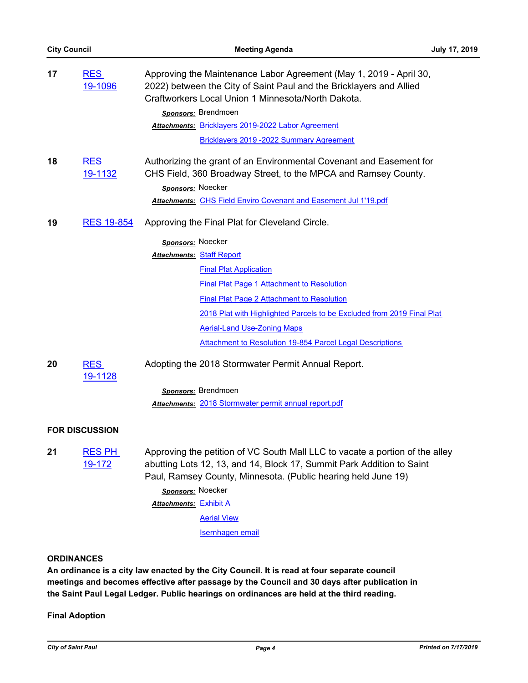| 17 | <b>RES</b><br>19-1096          | Approving the Maintenance Labor Agreement (May 1, 2019 - April 30,<br>2022) between the City of Saint Paul and the Bricklayers and Allied<br>Craftworkers Local Union 1 Minnesota/North Dakota.                                       |
|----|--------------------------------|---------------------------------------------------------------------------------------------------------------------------------------------------------------------------------------------------------------------------------------|
|    |                                | Sponsors: Brendmoen                                                                                                                                                                                                                   |
|    |                                | Attachments: Bricklayers 2019-2022 Labor Agreement                                                                                                                                                                                    |
|    |                                | Bricklayers 2019 - 2022 Summary Agreement                                                                                                                                                                                             |
| 18 | <b>RES</b><br>19-1132          | Authorizing the grant of an Environmental Covenant and Easement for<br>CHS Field, 360 Broadway Street, to the MPCA and Ramsey County.<br>Sponsors: Noecker<br><b>Attachments: CHS Field Enviro Covenant and Easement Jul 1'19.pdf</b> |
| 19 | <b>RES 19-854</b>              | Approving the Final Plat for Cleveland Circle.                                                                                                                                                                                        |
|    |                                | Sponsors: Noecker                                                                                                                                                                                                                     |
|    |                                | <b>Attachments: Staff Report</b>                                                                                                                                                                                                      |
|    |                                | <b>Final Plat Application</b>                                                                                                                                                                                                         |
|    |                                | <b>Final Plat Page 1 Attachment to Resolution</b>                                                                                                                                                                                     |
|    |                                | <b>Final Plat Page 2 Attachment to Resolution</b>                                                                                                                                                                                     |
|    |                                | 2018 Plat with Highlighted Parcels to be Excluded from 2019 Final Plat                                                                                                                                                                |
|    |                                | <b>Aerial-Land Use-Zoning Maps</b>                                                                                                                                                                                                    |
|    |                                | Attachment to Resolution 19-854 Parcel Legal Descriptions                                                                                                                                                                             |
| 20 | <b>RES</b><br>19-1128          | Adopting the 2018 Stormwater Permit Annual Report.                                                                                                                                                                                    |
|    |                                | Sponsors: Brendmoen                                                                                                                                                                                                                   |
|    |                                | Attachments: 2018 Stormwater permit annual report.pdf                                                                                                                                                                                 |
|    | <b>FOR DISCUSSION</b>          |                                                                                                                                                                                                                                       |
| 21 | <b>RES PH</b><br><u>19-172</u> | Approving the petition of VC South Mall LLC to vacate a portion of the alley<br>abutting Lots 12, 13, and 14, Block 17, Summit Park Addition to Saint<br>Paul, Ramsey County, Minnesota. (Public hearing held June 19)                |
|    |                                | Sponsors: Noecker                                                                                                                                                                                                                     |
|    |                                | <b>Attachments: Exhibit A</b>                                                                                                                                                                                                         |
|    |                                | <b>Aerial View</b>                                                                                                                                                                                                                    |
|    |                                | <b>Isernhagen</b> email                                                                                                                                                                                                               |

## **ORDINANCES**

**An ordinance is a city law enacted by the City Council. It is read at four separate council meetings and becomes effective after passage by the Council and 30 days after publication in the Saint Paul Legal Ledger. Public hearings on ordinances are held at the third reading.**

**Final Adoption**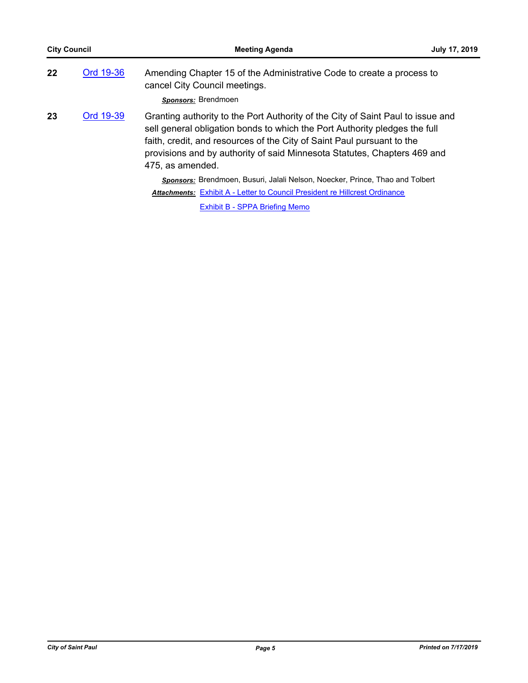| <b>City Council</b> |           | <b>Meeting Agenda</b>                                                                                                                                                                                                                                                                                                                   | July 17, 2019 |
|---------------------|-----------|-----------------------------------------------------------------------------------------------------------------------------------------------------------------------------------------------------------------------------------------------------------------------------------------------------------------------------------------|---------------|
| 22                  | Ord 19-36 | Amending Chapter 15 of the Administrative Code to create a process to<br>cancel City Council meetings.                                                                                                                                                                                                                                  |               |
|                     |           | Sponsors: Brendmoen                                                                                                                                                                                                                                                                                                                     |               |
| 23                  | Ord 19-39 | Granting authority to the Port Authority of the City of Saint Paul to issue and<br>sell general obligation bonds to which the Port Authority pledges the full<br>faith, credit, and resources of the City of Saint Paul pursuant to the<br>provisions and by authority of said Minnesota Statutes, Chapters 469 and<br>475, as amended. |               |
|                     |           | Sponsors: Brendmoen, Busuri, Jalali Nelson, Noecker, Prince, Thao and Tolbert                                                                                                                                                                                                                                                           |               |
|                     |           | <b>Attachments: Exhibit A - Letter to Council President re Hillcrest Ordinance</b>                                                                                                                                                                                                                                                      |               |

[Exhibit B - SPPA Briefing Memo](http://StPaul.legistar.com/gateway.aspx?M=F&ID=6ab169eb-a230-42c9-85b4-4492a5363fa3.pdf)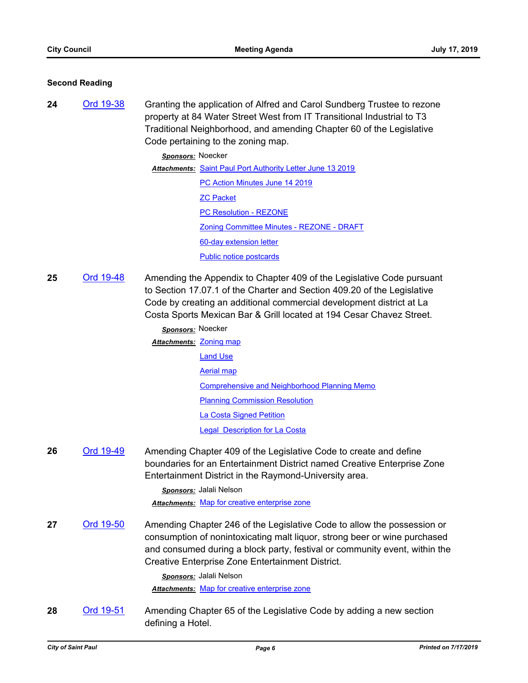#### **Second Reading**

**24** [Ord 19-38](http://stpaul.legistar.com/gateway.aspx?m=l&id=/matter.aspx?key=31785) Granting the application of Alfred and Carol Sundberg Trustee to rezone property at 84 Water Street West from IT Transitional Industrial to T3 Traditional Neighborhood, and amending Chapter 60 of the Legislative Code pertaining to the zoning map.

*Sponsors:* Noecker

Attachments: [Saint Paul Port Authority Letter June 13 2019](http://StPaul.legistar.com/gateway.aspx?M=F&ID=10ad9bd7-32e5-4c18-8a23-022fed4b1e39.pdf) [PC Action Minutes June 14 2019](http://StPaul.legistar.com/gateway.aspx?M=F&ID=e979ddfe-8c45-45af-8c6f-a4512db4638a.pdf) [ZC Packet](http://StPaul.legistar.com/gateway.aspx?M=F&ID=a45274fd-9a91-4203-b0ed-c739bad3abcd.pdf) [PC Resolution - REZONE](http://StPaul.legistar.com/gateway.aspx?M=F&ID=a9c6ce92-03c4-4cdb-bb4b-d52c5c52c7c6.pdf) [Zoning Committee Minutes - REZONE - DRAFT](http://StPaul.legistar.com/gateway.aspx?M=F&ID=461ee490-a393-48fa-8626-5c82540c02e7.pdf) [60-day extension letter](http://StPaul.legistar.com/gateway.aspx?M=F&ID=6ffc7339-ecda-4b3c-b0a8-907a2cce2b51.pdf) [Public notice postcards](http://StPaul.legistar.com/gateway.aspx?M=F&ID=dfd027cb-77a3-4188-adb9-9bb88d420d38.pdf)

**25** [Ord 19-48](http://stpaul.legistar.com/gateway.aspx?m=l&id=/matter.aspx?key=31901) Amending the Appendix to Chapter 409 of the Legislative Code pursuant to Section 17.07.1 of the Charter and Section 409.20 of the Legislative Code by creating an additional commercial development district at La Costa Sports Mexican Bar & Grill located at 194 Cesar Chavez Street.

| Sponsors: Noecker       |                                                     |
|-------------------------|-----------------------------------------------------|
| Attachments: Zoning map |                                                     |
|                         | <b>Land Use</b>                                     |
|                         | Aerial map                                          |
|                         | <b>Comprehensive and Neighborhood Planning Memo</b> |
|                         | <b>Planning Commission Resolution</b>               |
|                         | La Costa Signed Petition                            |
|                         | Legal Description for La Costa                      |

**26** [Ord 19-49](http://stpaul.legistar.com/gateway.aspx?m=l&id=/matter.aspx?key=31945) Amending Chapter 409 of the Legislative Code to create and define boundaries for an Entertainment District named Creative Enterprise Zone Entertainment District in the Raymond-University area.

> *Sponsors:* Jalali Nelson *Attachments:* [Map for creative enterprise zone](http://StPaul.legistar.com/gateway.aspx?M=F&ID=b528adcd-6b9f-4049-9003-ac60bc64f8aa.pdf)

**27** [Ord 19-50](http://stpaul.legistar.com/gateway.aspx?m=l&id=/matter.aspx?key=31946) Amending Chapter 246 of the Legislative Code to allow the possession or consumption of nonintoxicating malt liquor, strong beer or wine purchased and consumed during a block party, festival or community event, within the Creative Enterprise Zone Entertainment District.

*Sponsors:* Jalali Nelson

*Attachments:* [Map for creative enterprise zone](http://StPaul.legistar.com/gateway.aspx?M=F&ID=09096366-ce02-473c-b1d1-d1567bec9aa6.pdf)

**28** [Ord 19-51](http://stpaul.legistar.com/gateway.aspx?m=l&id=/matter.aspx?key=32034) Amending Chapter 65 of the Legislative Code by adding a new section defining a Hotel.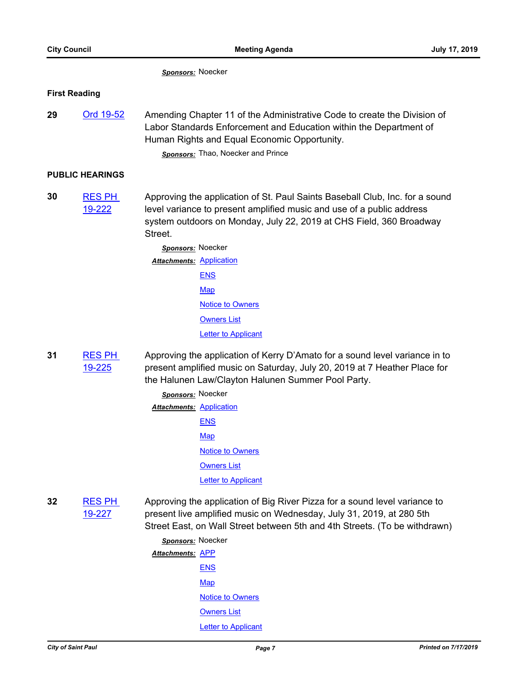*Sponsors:* Noecker

#### **First Reading**

29 [Ord 19-52](http://stpaul.legistar.com/gateway.aspx?m=l&id=/matter.aspx?key=32081) Amending Chapter 11 of the Administrative Code to create the Division of Labor Standards Enforcement and Education within the Department of Human Rights and Equal Economic Opportunity. *Sponsors:* Thao, Noecker and Prince

## **PUBLIC HEARINGS**

**30** [RES PH](http://stpaul.legistar.com/gateway.aspx?m=l&id=/matter.aspx?key=31994)  19-222 Approving the application of St. Paul Saints Baseball Club, Inc. for a sound level variance to present amplified music and use of a public address system outdoors on Monday, July 22, 2019 at CHS Field, 360 Broadway Street.

> *Sponsors:* Noecker **Attachments: [Application](http://StPaul.legistar.com/gateway.aspx?M=F&ID=031b1f1c-01a8-46db-b8d6-6bbbf28d02da.pdf)** [ENS](http://StPaul.legistar.com/gateway.aspx?M=F&ID=5eb5297e-500e-4f52-b3a2-e8bc1e83080b.pdf) **[Map](http://StPaul.legistar.com/gateway.aspx?M=F&ID=bccd23fc-d40f-40e1-b9a6-d27e0faf285d.pdf)** [Notice to Owners](http://StPaul.legistar.com/gateway.aspx?M=F&ID=da32a5e8-71ad-4f42-940d-29c78d8e7ccf.pdf) [Owners List](http://StPaul.legistar.com/gateway.aspx?M=F&ID=50afeb15-68eb-41e3-8110-e4491d4c6215.pdf) **[Letter to Applicant](http://StPaul.legistar.com/gateway.aspx?M=F&ID=dc693828-fd2e-4aa8-88b2-8191086466a9.pdf)**

- **31** [RES PH](http://stpaul.legistar.com/gateway.aspx?m=l&id=/matter.aspx?key=32015)  19-225 Approving the application of Kerry D'Amato for a sound level variance in to present amplified music on Saturday, July 20, 2019 at 7 Heather Place for the Halunen Law/Clayton Halunen Summer Pool Party.
	- *Sponsors:* Noecker **Attachments: [Application](http://StPaul.legistar.com/gateway.aspx?M=F&ID=861677b7-9d4e-4ed6-ad10-b71112cd738f.pdf)** [ENS](http://StPaul.legistar.com/gateway.aspx?M=F&ID=131831fb-a1fb-4b32-8964-eb921caa04b0.pdf) **[Map](http://StPaul.legistar.com/gateway.aspx?M=F&ID=1e7908a9-3d2d-4b6b-93b1-fb124ab9a0cd.pdf)** [Notice to Owners](http://StPaul.legistar.com/gateway.aspx?M=F&ID=63c99c3b-c997-4884-ba9a-d15059fcf90a.pdf) **[Owners List](http://StPaul.legistar.com/gateway.aspx?M=F&ID=a7822580-f357-4867-bf5a-7a5d34bf63e3.pdf)** [Letter to Applicant](http://StPaul.legistar.com/gateway.aspx?M=F&ID=5ca60010-85c6-4da0-b919-82cbd4a4cb42.pdf)
- **32** [RES PH](http://stpaul.legistar.com/gateway.aspx?m=l&id=/matter.aspx?key=32017)  19-227 Approving the application of Big River Pizza for a sound level variance to present live amplified music on Wednesday, July 31, 2019, at 280 5th Street East, on Wall Street between 5th and 4th Streets. (To be withdrawn)

*Sponsors:* Noecker Attachments: **[APP](http://StPaul.legistar.com/gateway.aspx?M=F&ID=3e951397-9506-4a4f-9c95-db9f42a80a45.pdf)** [ENS](http://StPaul.legistar.com/gateway.aspx?M=F&ID=28274560-83df-43de-b776-423423ea3e1d.pdf) **[Map](http://StPaul.legistar.com/gateway.aspx?M=F&ID=e79704d2-2e98-4092-bb89-5e4bdb82b45b.pdf)** [Notice to Owners](http://StPaul.legistar.com/gateway.aspx?M=F&ID=0a5749d9-7c9a-4981-a31d-9ee8c7e91841.pdf) **[Owners List](http://StPaul.legistar.com/gateway.aspx?M=F&ID=d56bad35-618c-4c67-a26b-732bf9ef3adb.pdf)** [Letter to Applicant](http://StPaul.legistar.com/gateway.aspx?M=F&ID=e47ffd60-6eaa-4547-b910-fe21731adbe9.pdf)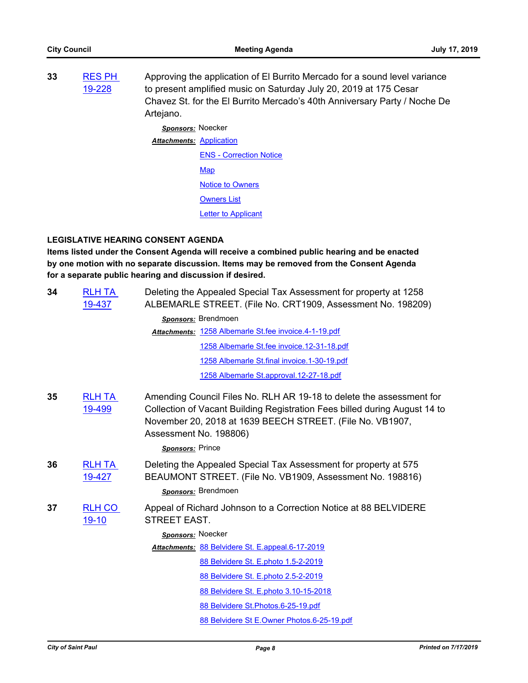**33** [RES PH](http://stpaul.legistar.com/gateway.aspx?m=l&id=/matter.aspx?key=32019)  19-228 Approving the application of El Burrito Mercado for a sound level variance to present amplified music on Saturday July 20, 2019 at 175 Cesar Chavez St. for the El Burrito Mercado's 40th Anniversary Party / Noche De Artejano.

> *Sponsors:* Noecker **Attachments: [Application](http://StPaul.legistar.com/gateway.aspx?M=F&ID=1e29c9c9-77c5-43dc-acf7-23efba7a05f6.pdf)** [ENS - Correction Notice](http://StPaul.legistar.com/gateway.aspx?M=F&ID=39539ad1-c4aa-45d6-8c3a-237dbf0bab96.pdf) **[Map](http://StPaul.legistar.com/gateway.aspx?M=F&ID=fe1e3ec8-bb64-4d8a-a4d9-7be17d8739a8.pdf)** [Notice to Owners](http://StPaul.legistar.com/gateway.aspx?M=F&ID=ce9eb28b-b01e-4eba-b238-56117caef0e4.pdf) **[Owners List](http://StPaul.legistar.com/gateway.aspx?M=F&ID=30af9bc3-db31-4fad-97f0-960a3ec52942.pdf) [Letter to Applicant](http://StPaul.legistar.com/gateway.aspx?M=F&ID=08c48b30-7603-4aa9-a924-69b3b7ffa1ef.pdf)**

# **LEGISLATIVE HEARING CONSENT AGENDA**

**Items listed under the Consent Agenda will receive a combined public hearing and be enacted by one motion with no separate discussion. Items may be removed from the Consent Agenda for a separate public hearing and discussion if desired.**

| 34 | <b>RLH TA</b><br>19-437 | Deleting the Appealed Special Tax Assessment for property at 1258<br>ALBEMARLE STREET. (File No. CRT1909, Assessment No. 198209)                                                                                                          |
|----|-------------------------|-------------------------------------------------------------------------------------------------------------------------------------------------------------------------------------------------------------------------------------------|
|    |                         | Sponsors: Brendmoen                                                                                                                                                                                                                       |
|    |                         | Attachments: 1258 Albemarle St.fee invoice.4-1-19.pdf                                                                                                                                                                                     |
|    |                         | 1258 Albemarle St.fee invoice.12-31-18.pdf                                                                                                                                                                                                |
|    |                         | 1258 Albemarle St.final invoice.1-30-19.pdf                                                                                                                                                                                               |
|    |                         | 1258 Albemarle St.approval.12-27-18.pdf                                                                                                                                                                                                   |
| 35 | <b>RLH TA</b><br>19-499 | Amending Council Files No. RLH AR 19-18 to delete the assessment for<br>Collection of Vacant Building Registration Fees billed during August 14 to<br>November 20, 2018 at 1639 BEECH STREET. (File No. VB1907,<br>Assessment No. 198806) |
|    |                         | Sponsors: Prince                                                                                                                                                                                                                          |
| 36 | <b>RLH TA</b><br>19-427 | Deleting the Appealed Special Tax Assessment for property at 575<br>BEAUMONT STREET. (File No. VB1909, Assessment No. 198816)                                                                                                             |
|    |                         | Sponsors: Brendmoen                                                                                                                                                                                                                       |
| 37 | <b>RLH CO</b><br>19-10  | Appeal of Richard Johnson to a Correction Notice at 88 BELVIDERE<br><b>STREET EAST.</b>                                                                                                                                                   |
|    |                         | Sponsors: Noecker                                                                                                                                                                                                                         |
|    |                         | Attachments: 88 Belvidere St. E.appeal.6-17-2019                                                                                                                                                                                          |
|    |                         | 88 Belvidere St. E.photo 1.5-2-2019                                                                                                                                                                                                       |
|    |                         | 88 Belvidere St. E.photo 2.5-2-2019                                                                                                                                                                                                       |
|    |                         | 88 Belvidere St. E.photo 3.10-15-2018                                                                                                                                                                                                     |
|    |                         | 88 Belvidere St. Photos. 6-25-19.pdf                                                                                                                                                                                                      |
|    |                         | 88 Belvidere St E.Owner Photos.6-25-19.pdf                                                                                                                                                                                                |
|    |                         |                                                                                                                                                                                                                                           |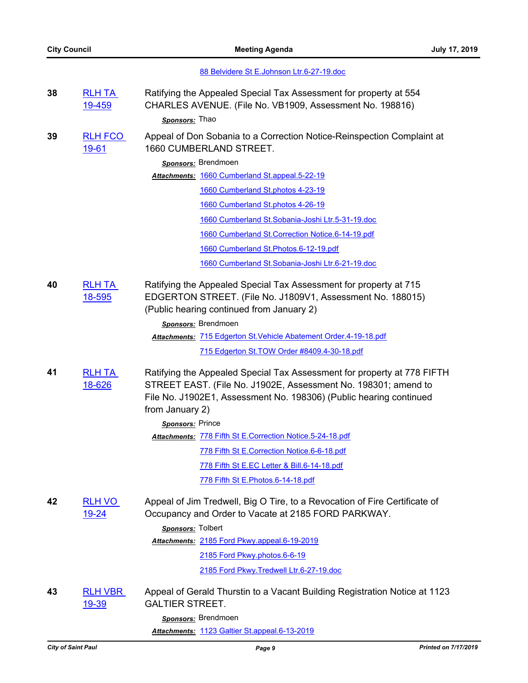| 88 Belvidere St E.Johnson Ltr.6-27-19.doc |  |
|-------------------------------------------|--|
|-------------------------------------------|--|

- **38** [RLH TA](http://stpaul.legistar.com/gateway.aspx?m=l&id=/matter.aspx?key=31798)  19-459 Ratifying the Appealed Special Tax Assessment for property at 554 CHARLES AVENUE. (File No. VB1909, Assessment No. 198816) *Sponsors:* Thao
- **39** [RLH FCO](http://stpaul.legistar.com/gateway.aspx?m=l&id=/matter.aspx?key=31656)  19-61 Appeal of Don Sobania to a Correction Notice-Reinspection Complaint at 1660 CUMBERLAND STREET.

*Sponsors:* Brendmoen

Attachments: [1660 Cumberland St.appeal.5-22-19](http://StPaul.legistar.com/gateway.aspx?M=F&ID=1d3a8711-1d52-4e00-905a-a834477f7df2.pdf)

[1660 Cumberland St.photos 4-23-19](http://StPaul.legistar.com/gateway.aspx?M=F&ID=c48a5d34-7233-4885-bf4b-7fb0ccd6a3d9.pdf)

[1660 Cumberland St.photos 4-26-19](http://StPaul.legistar.com/gateway.aspx?M=F&ID=73e95be8-bfaf-4270-baca-aace431f4464.pdf)

[1660 Cumberland St.Sobania-Joshi Ltr.5-31-19.doc](http://StPaul.legistar.com/gateway.aspx?M=F&ID=0b2ca3eb-de7a-4158-925d-ae723637edb6.doc)

[1660 Cumberland St.Correction Notice.6-14-19.pdf](http://StPaul.legistar.com/gateway.aspx?M=F&ID=6ddf84da-60ba-45eb-abbf-518f020e94db.pdf)

[1660 Cumberland St.Photos.6-12-19.pdf](http://StPaul.legistar.com/gateway.aspx?M=F&ID=f531d094-5346-4178-b191-d95f3bb58e01.pdf)

[1660 Cumberland St.Sobania-Joshi Ltr.6-21-19.doc](http://StPaul.legistar.com/gateway.aspx?M=F&ID=2200b46d-0366-441e-ae18-9b20cc33bbed.doc)

**40** [RLH TA](http://stpaul.legistar.com/gateway.aspx?m=l&id=/matter.aspx?key=28833)  18-595 Ratifying the Appealed Special Tax Assessment for property at 715 EDGERTON STREET. (File No. J1809V1, Assessment No. 188015) (Public hearing continued from January 2)

*Sponsors:* Brendmoen

[715 Edgerton St.Vehicle Abatement Order.4-19-18.pdf](http://StPaul.legistar.com/gateway.aspx?M=F&ID=df8a7132-bb25-4273-8bed-beef0a728124.pdf) *Attachments:*

[715 Edgerton St.TOW Order #8409.4-30-18.pdf](http://StPaul.legistar.com/gateway.aspx?M=F&ID=556a79e5-f79f-4526-b437-c8c41b0f5b2e.pdf)

**41** [RLH TA](http://stpaul.legistar.com/gateway.aspx?m=l&id=/matter.aspx?key=28965)  18-626 Ratifying the Appealed Special Tax Assessment for property at 778 FIFTH STREET EAST. (File No. J1902E, Assessment No. 198301; amend to File No. J1902E1, Assessment No. 198306) (Public hearing continued from January 2)

> *Sponsors:* Prince [778 Fifth St E.Correction Notice.5-24-18.pdf](http://StPaul.legistar.com/gateway.aspx?M=F&ID=4b4d2e02-0c21-4101-ae0b-ee73cddbfc74.pdf) *Attachments:* [778 Fifth St E.Correction Notice.6-6-18.pdf](http://StPaul.legistar.com/gateway.aspx?M=F&ID=11df1d15-782b-4096-a79d-642b9b866227.pdf) [778 Fifth St E.EC Letter & Bill.6-14-18.pdf](http://StPaul.legistar.com/gateway.aspx?M=F&ID=b6eba30e-08b2-4e09-a9d8-5bc84cca32d5.pdf) [778 Fifth St E.Photos.6-14-18.pdf](http://StPaul.legistar.com/gateway.aspx?M=F&ID=d0629185-cab1-4d32-84f7-aa680c6fab25.pdf)

**42** [RLH VO](http://stpaul.legistar.com/gateway.aspx?m=l&id=/matter.aspx?key=31915)  19-24 Appeal of Jim Tredwell, Big O Tire, to a Revocation of Fire Certificate of Occupancy and Order to Vacate at 2185 FORD PARKWAY.

> *Sponsors:* Tolbert [2185 Ford Pkwy.appeal.6-19-2019](http://StPaul.legistar.com/gateway.aspx?M=F&ID=7d40545a-c84c-43e3-84d6-530327006ed4.pdf) *Attachments:*

> > [2185 Ford Pkwy.photos.6-6-19](http://StPaul.legistar.com/gateway.aspx?M=F&ID=32ccda27-5b79-48a9-a11e-61e6978c9233.pdf)

2185 Ford Pkwy. Tredwell Ltr.6-27-19.doc

**43** [RLH VBR](http://stpaul.legistar.com/gateway.aspx?m=l&id=/matter.aspx?key=31850)  19-39 Appeal of Gerald Thurstin to a Vacant Building Registration Notice at 1123 GALTIER STREET.

*Sponsors:* Brendmoen

*Attachments:* [1123 Galtier St.appeal.6-13-2019](http://StPaul.legistar.com/gateway.aspx?M=F&ID=6fb3da72-f67f-4367-9914-24af167b0bf0.pdf)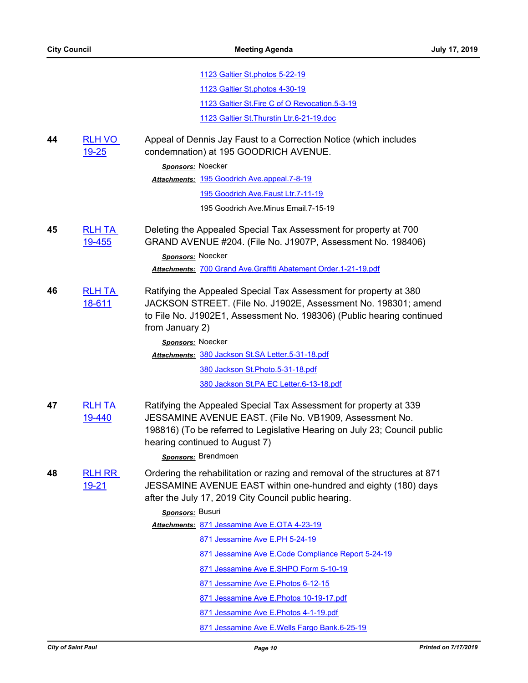|    |                                | 1123 Galtier St.photos 5-22-19                                                                                                                                                                                                                                     |
|----|--------------------------------|--------------------------------------------------------------------------------------------------------------------------------------------------------------------------------------------------------------------------------------------------------------------|
|    |                                | 1123 Galtier St.photos 4-30-19                                                                                                                                                                                                                                     |
|    |                                | 1123 Galtier St. Fire C of O Revocation. 5-3-19                                                                                                                                                                                                                    |
|    |                                | 1123 Galtier St. Thurstin Ltr.6-21-19.doc                                                                                                                                                                                                                          |
| 44 | <b>RLH VO</b><br><u>19-25</u>  | Appeal of Dennis Jay Faust to a Correction Notice (which includes<br>condemnation) at 195 GOODRICH AVENUE.                                                                                                                                                         |
|    |                                | Sponsors: Noecker                                                                                                                                                                                                                                                  |
|    |                                | Attachments: 195 Goodrich Ave.appeal.7-8-19                                                                                                                                                                                                                        |
|    |                                | 195 Goodrich Ave.Faust Ltr.7-11-19                                                                                                                                                                                                                                 |
|    |                                | 195 Goodrich Ave.Minus Email.7-15-19                                                                                                                                                                                                                               |
| 45 | <b>RLH TA</b><br><u>19-455</u> | Deleting the Appealed Special Tax Assessment for property at 700<br>GRAND AVENUE #204. (File No. J1907P, Assessment No. 198406)<br>Sponsors: Noecker                                                                                                               |
|    |                                | Attachments: 700 Grand Ave. Graffiti Abatement Order.1-21-19.pdf                                                                                                                                                                                                   |
| 46 | <b>RLH TA</b><br>18-611        | Ratifying the Appealed Special Tax Assessment for property at 380<br>JACKSON STREET. (File No. J1902E, Assessment No. 198301; amend<br>to File No. J1902E1, Assessment No. 198306) (Public hearing continued<br>from January 2)                                    |
|    |                                | Sponsors: Noecker                                                                                                                                                                                                                                                  |
|    |                                | Attachments: 380 Jackson St.SA Letter.5-31-18.pdf                                                                                                                                                                                                                  |
|    |                                | 380 Jackson St. Photo. 5-31-18.pdf                                                                                                                                                                                                                                 |
|    |                                | 380 Jackson St.PA EC Letter.6-13-18.pdf                                                                                                                                                                                                                            |
| 47 | <b>RLH TA</b><br>19-440        | Ratifying the Appealed Special Tax Assessment for property at 339<br>JESSAMINE AVENUE EAST. (File No. VB1909, Assessment No.<br>198816) (To be referred to Legislative Hearing on July 23; Council public<br>hearing continued to August 7)<br>Sponsors: Brendmoen |
| 48 | <b>RLH RR</b><br>19-21         | Ordering the rehabilitation or razing and removal of the structures at 871<br>JESSAMINE AVENUE EAST within one-hundred and eighty (180) days<br>after the July 17, 2019 City Council public hearing.                                                               |
|    |                                | Sponsors: Busuri                                                                                                                                                                                                                                                   |
|    |                                | Attachments: 871 Jessamine Ave E.OTA 4-23-19                                                                                                                                                                                                                       |
|    |                                | 871 Jessamine Ave E.PH 5-24-19                                                                                                                                                                                                                                     |
|    |                                | 871 Jessamine Ave E.Code Compliance Report 5-24-19                                                                                                                                                                                                                 |
|    |                                | 871 Jessamine Ave E.SHPO Form 5-10-19                                                                                                                                                                                                                              |
|    |                                | 871 Jessamine Ave E. Photos 6-12-15                                                                                                                                                                                                                                |
|    |                                | 871 Jessamine Ave E. Photos 10-19-17.pdf                                                                                                                                                                                                                           |
|    |                                | 871 Jessamine Ave E. Photos 4-1-19.pdf                                                                                                                                                                                                                             |
|    |                                | 871 Jessamine Ave E.Wells Fargo Bank.6-25-19                                                                                                                                                                                                                       |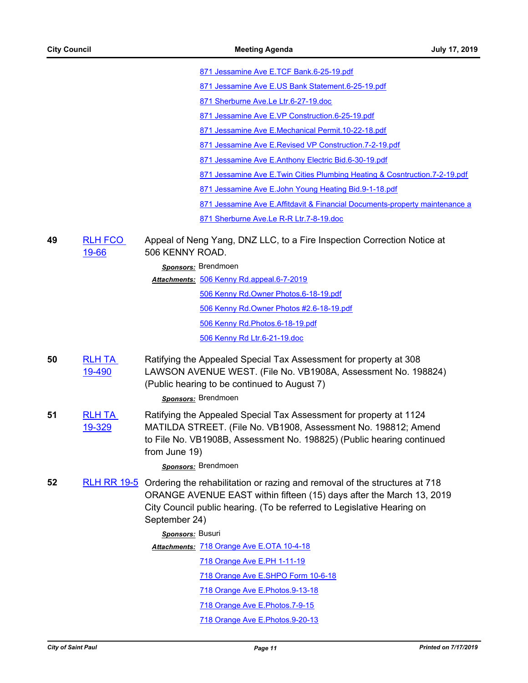|                         | 871 Jessamine Ave E.TCF Bank.6-25-19.pdf                                                                                                                                                                                                                  |
|-------------------------|-----------------------------------------------------------------------------------------------------------------------------------------------------------------------------------------------------------------------------------------------------------|
|                         | 871 Jessamine Ave E.US Bank Statement.6-25-19.pdf                                                                                                                                                                                                         |
|                         | 871 Sherburne Ave.Le Ltr.6-27-19.doc                                                                                                                                                                                                                      |
|                         | 871 Jessamine Ave E.VP Construction.6-25-19.pdf                                                                                                                                                                                                           |
|                         | 871 Jessamine Ave E.Mechanical Permit.10-22-18.pdf                                                                                                                                                                                                        |
|                         | 871 Jessamine Ave E.Revised VP Construction.7-2-19.pdf                                                                                                                                                                                                    |
|                         | 871 Jessamine Ave E.Anthony Electric Bid.6-30-19.pdf                                                                                                                                                                                                      |
|                         | 871 Jessamine Ave E. Twin Cities Plumbing Heating & Cosntruction. 7-2-19.pdf                                                                                                                                                                              |
|                         | 871 Jessamine Ave E.John Young Heating Bid.9-1-18.pdf                                                                                                                                                                                                     |
|                         | 871 Jessamine Ave E.Affitdavit & Financial Documents-property maintenance a                                                                                                                                                                               |
|                         | 871 Sherburne Ave.Le R-R Ltr.7-8-19.doc                                                                                                                                                                                                                   |
| <b>RLH FCO</b><br>19-66 | Appeal of Neng Yang, DNZ LLC, to a Fire Inspection Correction Notice at<br>506 KENNY ROAD.                                                                                                                                                                |
|                         | Sponsors: Brendmoen                                                                                                                                                                                                                                       |
|                         | Attachments: 506 Kenny Rd.appeal.6-7-2019                                                                                                                                                                                                                 |
|                         | 506 Kenny Rd.Owner Photos.6-18-19.pdf                                                                                                                                                                                                                     |
|                         | 506 Kenny Rd.Owner Photos #2.6-18-19.pdf                                                                                                                                                                                                                  |
|                         | 506 Kenny Rd. Photos. 6-18-19.pdf                                                                                                                                                                                                                         |
|                         | 506 Kenny Rd Ltr.6-21-19.doc                                                                                                                                                                                                                              |
| <b>RLH TA</b><br>19-490 | Ratifying the Appealed Special Tax Assessment for property at 308<br>LAWSON AVENUE WEST. (File No. VB1908A, Assessment No. 198824)<br>(Public hearing to be continued to August 7)<br>Sponsors: Brendmoen                                                 |
| <b>RLH TA</b><br>19-329 | Ratifying the Appealed Special Tax Assessment for property at 1124<br>MATILDA STREET. (File No. VB1908, Assessment No. 198812; Amend<br>to File No. VB1908B, Assessment No. 198825) (Public hearing continued<br>from June 19)                            |
|                         | Sponsors: Brendmoen                                                                                                                                                                                                                                       |
|                         | RLH RR 19-5 Ordering the rehabilitation or razing and removal of the structures at 718<br>ORANGE AVENUE EAST within fifteen (15) days after the March 13, 2019<br>City Council public hearing. (To be referred to Legislative Hearing on<br>September 24) |
|                         | Sponsors: Busuri                                                                                                                                                                                                                                          |
|                         | Attachments: 718 Orange Ave E.OTA 10-4-18                                                                                                                                                                                                                 |
|                         | 718 Orange Ave E.PH 1-11-19                                                                                                                                                                                                                               |
|                         | 718 Orange Ave E.SHPO Form 10-6-18                                                                                                                                                                                                                        |
|                         | 718 Orange Ave E. Photos. 9-13-18                                                                                                                                                                                                                         |
|                         | 718 Orange Ave E.Photos.7-9-15                                                                                                                                                                                                                            |
|                         | 718 Orange Ave E. Photos. 9-20-13                                                                                                                                                                                                                         |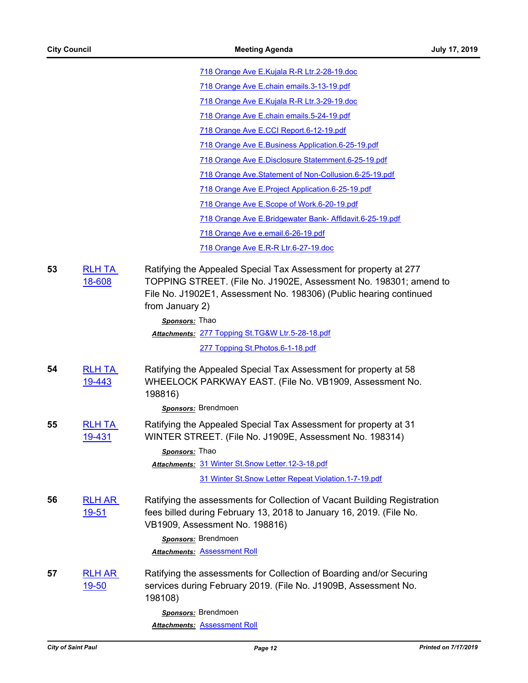[718 Orange Ave E.Kujala R-R Ltr.2-28-19.doc](http://StPaul.legistar.com/gateway.aspx?M=F&ID=3b3325a4-6355-4a28-9660-dde163939d69.doc)

[718 Orange Ave E.chain emails.3-13-19.pdf](http://StPaul.legistar.com/gateway.aspx?M=F&ID=6a4ad18d-89cf-45d7-8733-d62efca9681c.pdf)

[718 Orange Ave E.Kujala R-R Ltr.3-29-19.doc](http://StPaul.legistar.com/gateway.aspx?M=F&ID=336b2edb-ad60-4e89-a459-cdef231ef899.doc)

[718 Orange Ave E.chain emails.5-24-19.pdf](http://StPaul.legistar.com/gateway.aspx?M=F&ID=d04f63ac-5909-445f-aeea-0f9508f4d549.pdf)

[718 Orange Ave E.CCI Report.6-12-19.pdf](http://StPaul.legistar.com/gateway.aspx?M=F&ID=685419e3-0520-4b5e-b12e-bdabddcc5b2f.pdf)

[718 Orange Ave E.Business Application.6-25-19.pdf](http://StPaul.legistar.com/gateway.aspx?M=F&ID=6002f03c-d96f-4661-95df-89eec66568a8.pdf)

[718 Orange Ave E.Disclosure Statemment.6-25-19.pdf](http://StPaul.legistar.com/gateway.aspx?M=F&ID=9d9075df-c282-40ea-84bb-8de031c34c43.pdf)

[718 Orange Ave.Statement of Non-Collusion.6-25-19.pdf](http://StPaul.legistar.com/gateway.aspx?M=F&ID=0af87eca-1148-46fd-8057-733facf7b5ed.pdf)

[718 Orange Ave E.Project Application.6-25-19.pdf](http://StPaul.legistar.com/gateway.aspx?M=F&ID=fc55bc61-cf5d-4cc1-a17a-a3700fc8d1b9.pdf)

[718 Orange Ave E.Scope of Work.6-20-19.pdf](http://StPaul.legistar.com/gateway.aspx?M=F&ID=b6b96f80-cd94-4f99-9f2b-34bcae87c4b1.pdf)

[718 Orange Ave E.Bridgewater Bank- Affidavit.6-25-19.pdf](http://StPaul.legistar.com/gateway.aspx?M=F&ID=2c4cc3db-1ac7-4428-ae2a-46de4fc6758d.pdf)

[718 Orange Ave e.email.6-26-19.pdf](http://StPaul.legistar.com/gateway.aspx?M=F&ID=5f8e05ab-b7eb-4dd6-986f-961aacf5408e.pdf)

[718 Orange Ave E.R-R Ltr.6-27-19.doc](http://StPaul.legistar.com/gateway.aspx?M=F&ID=8b49bb7e-6dd1-4554-bcc0-be7cc02c14f8.doc)

**53** [RLH TA](http://stpaul.legistar.com/gateway.aspx?m=l&id=/matter.aspx?key=28904)  18-608 Ratifying the Appealed Special Tax Assessment for property at 277 TOPPING STREET. (File No. J1902E, Assessment No. 198301; amend to File No. J1902E1, Assessment No. 198306) (Public hearing continued from January 2)

*Sponsors:* Thao

[277 Topping St.TG&W Ltr.5-28-18.pdf](http://StPaul.legistar.com/gateway.aspx?M=F&ID=78aa0a3f-9b1b-4e0b-937e-0043e5da2021.pdf) *Attachments:*

[277 Topping St.Photos.6-1-18.pdf](http://StPaul.legistar.com/gateway.aspx?M=F&ID=cde3014e-485d-4696-857a-0a8c21208174.pdf)

**54** [RLH TA](http://stpaul.legistar.com/gateway.aspx?m=l&id=/matter.aspx?key=31756)  19-443 Ratifying the Appealed Special Tax Assessment for property at 58 WHEELOCK PARKWAY EAST. (File No. VB1909, Assessment No. 198816)

*Sponsors:* Brendmoen

**55** [RLH TA](http://stpaul.legistar.com/gateway.aspx?m=l&id=/matter.aspx?key=31723)  19-431 Ratifying the Appealed Special Tax Assessment for property at 31 WINTER STREET. (File No. J1909E, Assessment No. 198314)

*Sponsors:* Thao

Attachments: [31 Winter St.Snow Letter.12-3-18.pdf](http://StPaul.legistar.com/gateway.aspx?M=F&ID=d7b8b53b-212e-4de3-89c7-0cd2cb19ff61.pdf)

[31 Winter St.Snow Letter Repeat Violation.1-7-19.pdf](http://StPaul.legistar.com/gateway.aspx?M=F&ID=68c6c970-1b2e-446f-a372-985a8043d93a.pdf)

**56** [RLH AR](http://stpaul.legistar.com/gateway.aspx?m=l&id=/matter.aspx?key=31211)  19-51 Ratifying the assessments for Collection of Vacant Building Registration fees billed during February 13, 2018 to January 16, 2019. (File No. VB1909, Assessment No. 198816)

> *Sponsors:* Brendmoen *Attachments:* [Assessment Roll](http://StPaul.legistar.com/gateway.aspx?M=F&ID=2df0512f-459d-49c8-a9d5-42da2a832d7c.pdf)

**57** [RLH AR](http://stpaul.legistar.com/gateway.aspx?m=l&id=/matter.aspx?key=31240)  19-50 Ratifying the assessments for Collection of Boarding and/or Securing services during February 2019. (File No. J1909B, Assessment No. 198108)

> *Sponsors:* Brendmoen *Attachments:* [Assessment Roll](http://StPaul.legistar.com/gateway.aspx?M=F&ID=276449dc-1a45-48d0-9373-881c7a77da50.pdf)